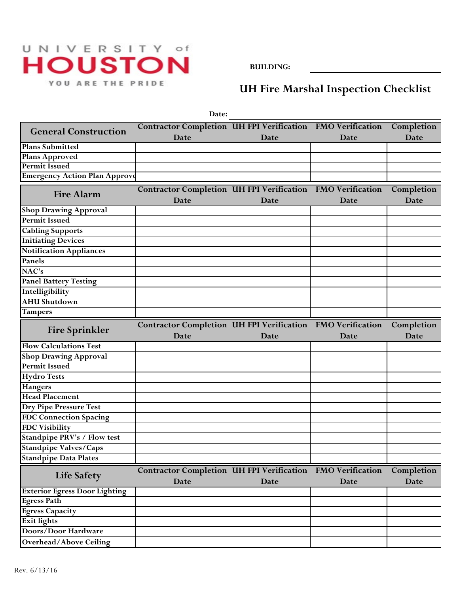## UNIVERSITY of **HOUSTON** YOU ARE THE PRIDE

**BUILDING:**

**UH Fire Marshal Inspection Checklist**

|                                      | Date:                                                                     |      |      |                    |
|--------------------------------------|---------------------------------------------------------------------------|------|------|--------------------|
| <b>General Construction</b>          | Contractor Completion UH FPI Verification FMO Verification                |      |      | Completion         |
|                                      | Date                                                                      | Date | Date | Date               |
| <b>Plans Submitted</b>               |                                                                           |      |      |                    |
| <b>Plans Approved</b>                |                                                                           |      |      |                    |
| <b>Permit Issued</b>                 |                                                                           |      |      |                    |
| <b>Emergency Action Plan Approve</b> |                                                                           |      |      |                    |
| <b>Fire Alarm</b>                    | <b>Contractor Completion UH FPI Verification FMO Verification</b><br>Date | Date | Date | Completion<br>Date |
| <b>Shop Drawing Approval</b>         |                                                                           |      |      |                    |
| <b>Permit Issued</b>                 |                                                                           |      |      |                    |
| <b>Cabling Supports</b>              |                                                                           |      |      |                    |
| <b>Initiating Devices</b>            |                                                                           |      |      |                    |
| <b>Notification Appliances</b>       |                                                                           |      |      |                    |
| Panels                               |                                                                           |      |      |                    |
| NAC's                                |                                                                           |      |      |                    |
| <b>Panel Battery Testing</b>         |                                                                           |      |      |                    |
| Intelligibility                      |                                                                           |      |      |                    |
| <b>AHU Shutdown</b>                  |                                                                           |      |      |                    |
| <b>Tampers</b>                       |                                                                           |      |      |                    |
| <b>Fire Sprinkler</b>                | Contractor Completion UH FPI Verification FMO Verification                |      |      | Completion         |
|                                      |                                                                           |      |      |                    |
|                                      | Date                                                                      | Date | Date | Date               |
| <b>Flow Calculations Test</b>        |                                                                           |      |      |                    |
| <b>Shop Drawing Approval</b>         |                                                                           |      |      |                    |
| <b>Permit Issued</b>                 |                                                                           |      |      |                    |
| <b>Hydro Tests</b>                   |                                                                           |      |      |                    |
| <b>Hangers</b>                       |                                                                           |      |      |                    |
| <b>Head Placement</b>                |                                                                           |      |      |                    |
| <b>Dry Pipe Pressure Test</b>        |                                                                           |      |      |                    |
| <b>FDC Connection Spacing</b>        |                                                                           |      |      |                    |
| <b>FDC Visibility</b>                |                                                                           |      |      |                    |
| Standpipe PRV's / Flow test          |                                                                           |      |      |                    |
| Standpipe Valves/Caps                |                                                                           |      |      |                    |
| <b>Standpipe Data Plates</b>         |                                                                           |      |      |                    |
| <b>Life Safety</b>                   | Contractor Completion UH FPI Verification FMO Verification<br>Date        | Date | Date | Completion<br>Date |
| <b>Exterior Egress Door Lighting</b> |                                                                           |      |      |                    |
| <b>Egress Path</b>                   |                                                                           |      |      |                    |
| <b>Egress Capacity</b>               |                                                                           |      |      |                    |
| <b>Exit lights</b>                   |                                                                           |      |      |                    |
| Doors/Door Hardware                  |                                                                           |      |      |                    |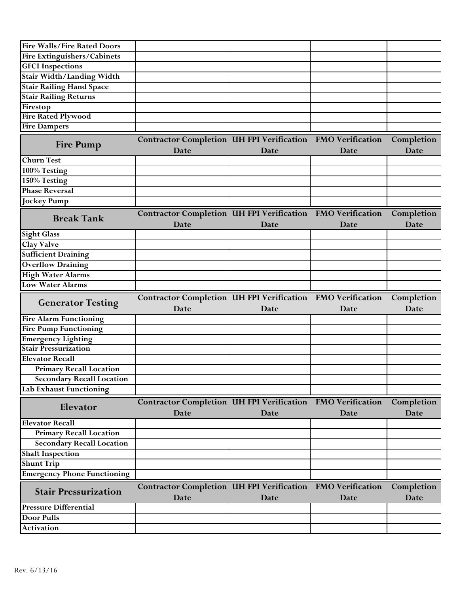| <b>Fire Walls/Fire Rated Doors</b>                                |                                                                           |      |      |                           |
|-------------------------------------------------------------------|---------------------------------------------------------------------------|------|------|---------------------------|
| Fire Extinguishers/Cabinets                                       |                                                                           |      |      |                           |
| <b>GFCI</b> Inspections                                           |                                                                           |      |      |                           |
| Stair Width/Landing Width                                         |                                                                           |      |      |                           |
| <b>Stair Railing Hand Space</b>                                   |                                                                           |      |      |                           |
| <b>Stair Railing Returns</b>                                      |                                                                           |      |      |                           |
| Firestop                                                          |                                                                           |      |      |                           |
| <b>Fire Rated Plywood</b>                                         |                                                                           |      |      |                           |
| <b>Fire Dampers</b>                                               |                                                                           |      |      |                           |
| <b>Fire Pump</b>                                                  | Contractor Completion UH FPI Verification FMO Verification<br>Date        |      |      | Completion<br>Date        |
| <b>Churn Test</b>                                                 |                                                                           | Date | Date |                           |
| 100% Testing                                                      |                                                                           |      |      |                           |
| 150% Testing                                                      |                                                                           |      |      |                           |
| <b>Phase Reversal</b>                                             |                                                                           |      |      |                           |
| <b>Jockey Pump</b>                                                |                                                                           |      |      |                           |
|                                                                   |                                                                           |      |      |                           |
| <b>Break Tank</b>                                                 | <b>Contractor Completion UH FPI Verification FMO Verification</b><br>Date | Date | Date | Completion<br><b>Date</b> |
| <b>Sight Glass</b>                                                |                                                                           |      |      |                           |
| <b>Clay Valve</b>                                                 |                                                                           |      |      |                           |
| <b>Sufficient Draining</b>                                        |                                                                           |      |      |                           |
| <b>Overflow Draining</b>                                          |                                                                           |      |      |                           |
| <b>High Water Alarms</b>                                          |                                                                           |      |      |                           |
| <b>Low Water Alarms</b>                                           |                                                                           |      |      |                           |
| <b>Generator Testing</b>                                          | Contractor Completion UH FPI Verification FMO Verification<br>Date        | Date | Date | Completion<br>Date        |
| <b>Fire Alarm Functioning</b>                                     |                                                                           |      |      |                           |
| <b>Fire Pump Functioning</b>                                      |                                                                           |      |      |                           |
| <b>Emergency Lighting</b>                                         |                                                                           |      |      |                           |
| <b>Stair Pressurization</b>                                       |                                                                           |      |      |                           |
| <b>Elevator Recall</b>                                            |                                                                           |      |      |                           |
| <b>Primary Recall Location</b>                                    |                                                                           |      |      |                           |
| <b>Secondary Recall Location</b>                                  |                                                                           |      |      |                           |
| Lab Exhaust Functioning                                           |                                                                           |      |      |                           |
| Elevator                                                          | Contractor Completion UH FPI Verification FMO Verification<br>Date        | Date | Date | Completion<br>Date        |
| <b>Elevator Recall</b>                                            |                                                                           |      |      |                           |
| <b>Primary Recall Location</b>                                    |                                                                           |      |      |                           |
|                                                                   |                                                                           |      |      |                           |
|                                                                   |                                                                           |      |      |                           |
| <b>Secondary Recall Location</b>                                  |                                                                           |      |      |                           |
| <b>Shaft Inspection</b>                                           |                                                                           |      |      |                           |
| <b>Shunt Trip</b>                                                 |                                                                           |      |      |                           |
| <b>Emergency Phone Functioning</b><br><b>Stair Pressurization</b> | Contractor Completion UH FPI Verification FMO Verification                |      |      | Completion                |
|                                                                   | Date                                                                      | Date | Date | Date                      |
| <b>Pressure Differential</b>                                      |                                                                           |      |      |                           |
| Door Pulls<br><b>Activation</b>                                   |                                                                           |      |      |                           |